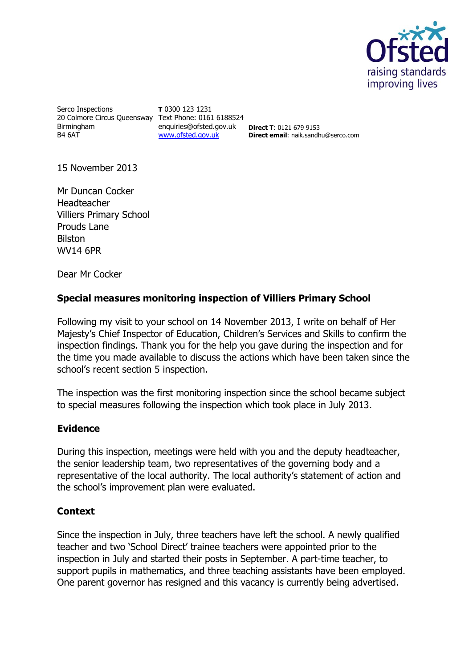

Serco Inspections 20 Colmore Circus Queensway Text Phone: 0161 6188524 Birmingham B4 6AT

**T** 0300 123 1231 enquiries@ofsted.gov.uk **Direct T**: 0121 679 9153 [www.ofsted.gov.uk](http://www.ofsted.gov.uk/)

**Direct email**: naik.sandhu@serco.com

15 November 2013

Mr Duncan Cocker **Headteacher** Villiers Primary School Prouds Lane Bilston WV14 6PR

Dear Mr Cocker

## **Special measures monitoring inspection of Villiers Primary School**

Following my visit to your school on 14 November 2013, I write on behalf of Her Majesty's Chief Inspector of Education, Children's Services and Skills to confirm the inspection findings. Thank you for the help you gave during the inspection and for the time you made available to discuss the actions which have been taken since the school's recent section 5 inspection.

The inspection was the first monitoring inspection since the school became subject to special measures following the inspection which took place in July 2013.

## **Evidence**

During this inspection, meetings were held with you and the deputy headteacher, the senior leadership team, two representatives of the governing body and a representative of the local authority. The local authority's statement of action and the school's improvement plan were evaluated.

## **Context**

Since the inspection in July, three teachers have left the school. A newly qualified teacher and two 'School Direct' trainee teachers were appointed prior to the inspection in July and started their posts in September. A part-time teacher, to support pupils in mathematics, and three teaching assistants have been employed. One parent governor has resigned and this vacancy is currently being advertised.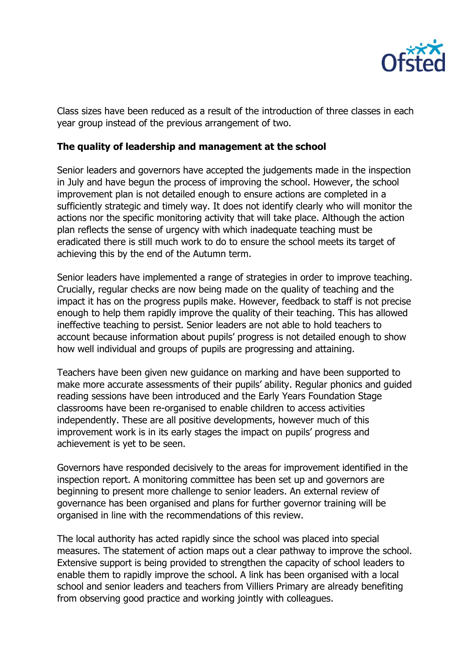

Class sizes have been reduced as a result of the introduction of three classes in each year group instead of the previous arrangement of two.

## **The quality of leadership and management at the school**

Senior leaders and governors have accepted the judgements made in the inspection in July and have begun the process of improving the school. However, the school improvement plan is not detailed enough to ensure actions are completed in a sufficiently strategic and timely way. It does not identify clearly who will monitor the actions nor the specific monitoring activity that will take place. Although the action plan reflects the sense of urgency with which inadequate teaching must be eradicated there is still much work to do to ensure the school meets its target of achieving this by the end of the Autumn term.

Senior leaders have implemented a range of strategies in order to improve teaching. Crucially, regular checks are now being made on the quality of teaching and the impact it has on the progress pupils make. However, feedback to staff is not precise enough to help them rapidly improve the quality of their teaching. This has allowed ineffective teaching to persist. Senior leaders are not able to hold teachers to account because information about pupils' progress is not detailed enough to show how well individual and groups of pupils are progressing and attaining.

Teachers have been given new guidance on marking and have been supported to make more accurate assessments of their pupils' ability. Regular phonics and guided reading sessions have been introduced and the Early Years Foundation Stage classrooms have been re-organised to enable children to access activities independently. These are all positive developments, however much of this improvement work is in its early stages the impact on pupils' progress and achievement is yet to be seen.

Governors have responded decisively to the areas for improvement identified in the inspection report. A monitoring committee has been set up and governors are beginning to present more challenge to senior leaders. An external review of governance has been organised and plans for further governor training will be organised in line with the recommendations of this review.

The local authority has acted rapidly since the school was placed into special measures. The statement of action maps out a clear pathway to improve the school. Extensive support is being provided to strengthen the capacity of school leaders to enable them to rapidly improve the school. A link has been organised with a local school and senior leaders and teachers from Villiers Primary are already benefiting from observing good practice and working jointly with colleagues.